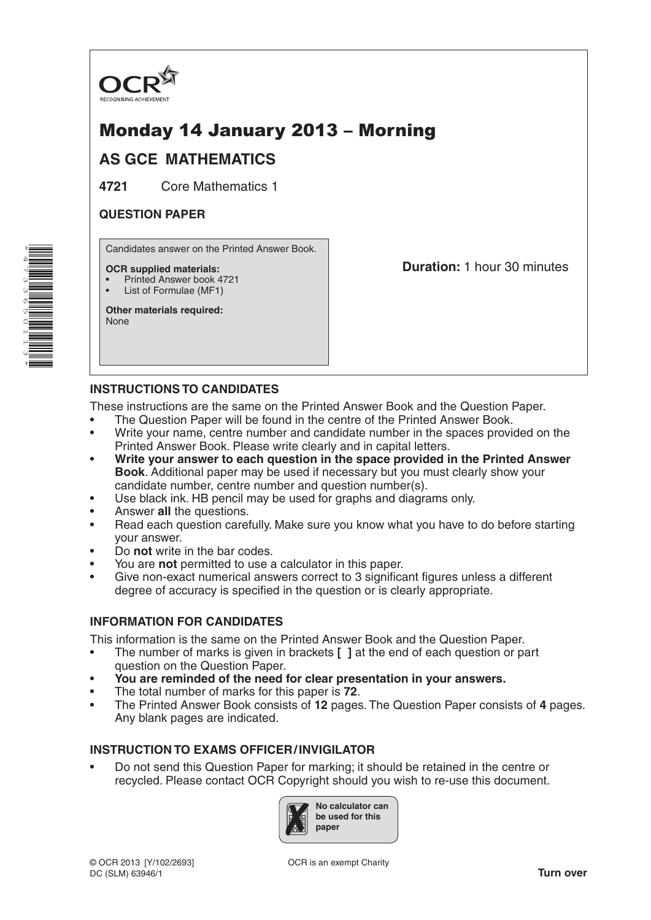

# Monday 14 January 2013 – Morning

## **AS GCE MATHEMATICS**

**4721** Core Mathematics 1

### **QUESTION PAPER**

\*4 $\overline{\phantom{a}}$ W ω 65011ω \* Candidates answer on the Printed Answer Book.

#### **OCR supplied materials:**

- Printed Answer book 4721
- List of Formulae (MF1)

**Other materials required:** None

**Duration:** 1 hour 30 minutes

## **INSTRUCTIONS TO CANDIDATES**

These instructions are the same on the Printed Answer Book and the Question Paper.

- The Question Paper will be found in the centre of the Printed Answer Book.
- Write your name, centre number and candidate number in the spaces provided on the Printed Answer Book. Please write clearly and in capital letters.
- **Write your answer to each question in the space provided in the Printed Answer Book**. Additional paper may be used if necessary but you must clearly show your candidate number, centre number and question number(s).
- Use black ink. HB pencil may be used for graphs and diagrams only.
- Answer **all** the questions.
- Read each question carefully. Make sure you know what you have to do before starting your answer.
- Do **not** write in the bar codes.
- You are **not** permitted to use a calculator in this paper.
- Give non-exact numerical answers correct to 3 significant figures unless a different degree of accuracy is specified in the question or is clearly appropriate.

#### **INFORMATION FOR CANDIDATES**

This information is the same on the Printed Answer Book and the Question Paper.

- The number of marks is given in brackets **[ ]** at the end of each question or part question on the Question Paper.
- **You are reminded of the need for clear presentation in your answers.**
- The total number of marks for this paper is **72**.
- The Printed Answer Book consists of **12** pages. The Question Paper consists of **4** pages. Any blank pages are indicated.

#### **INSTRUCTION TO EXAMS OFFICER/INVIGILATOR**

• Do not send this Question Paper for marking; it should be retained in the centre or recycled. Please contact OCR Copyright should you wish to re-use this document.

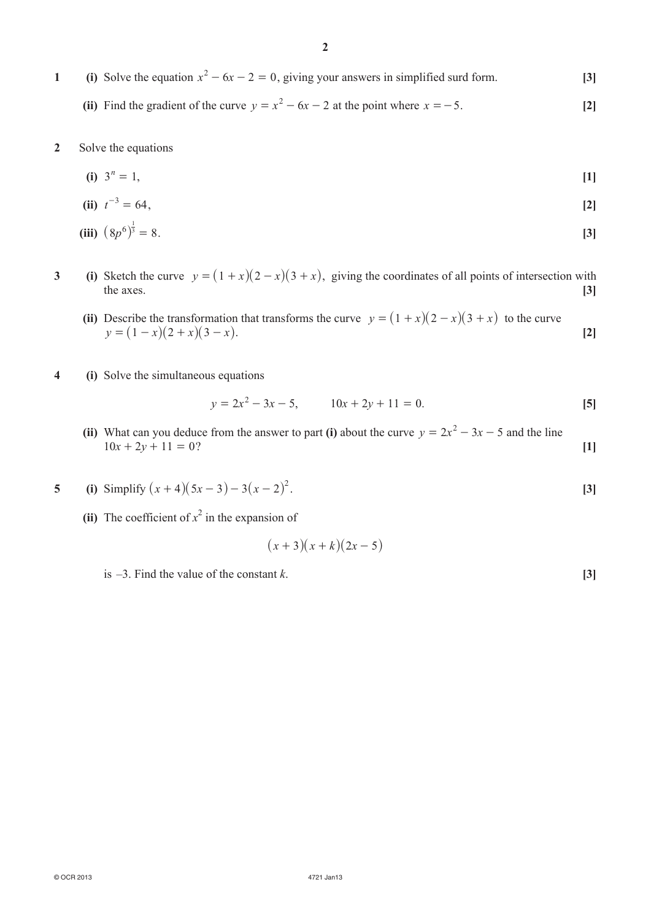**1** (i) Solve the equation  $x^2 - 6x - 2 = 0$ , giving your answers in simplified surd form. **[3]** 

**(ii)** Find the gradient of the curve  $y = x^2 - 6x - 2$  at the point where  $x = -5$ . [2]

**2**  Solve the equations

(i) 
$$
3^n = 1
$$
, [1]

(ii) 
$$
t^{-3} = 64
$$
, [2]

(iii) 
$$
(8p^6)^{\frac{1}{3}} = 8
$$
. [3]

- **3** (i) Sketch the curve  $y = (1 + x)(2 x)(3 + x)$ , giving the coordinates of all points of intersection with the axes. the axes. **[3]**
	- **(ii)** Describe the transformation that transforms the curve  $y = (1 + x)(2 x)(3 + x)$  to the curve  $y = (1 - x)(2 + x)(3 - x)$ . [2]
- **4 (i)**  Solve the simultaneous equations

$$
y = 2x^2 - 3x - 5, \qquad 10x + 2y + 11 = 0.
$$
 [5]

- **(ii)** What can you deduce from the answer to part **(i)** about the curve  $y = 2x^2 3x 5$  and the line  $10x + 2y + 11 = 0$ ? [1]
- **5** (i) Simplify  $(x + 4)(5x 3) 3(x 2)^2$ . [3]
- **(ii)** The coefficient of  $x^2$  in the expansion of

$$
(x+3)(x+k)(2x-5)
$$

 $\text{is } -3$ . Find the value of the constant *k*. **[3]**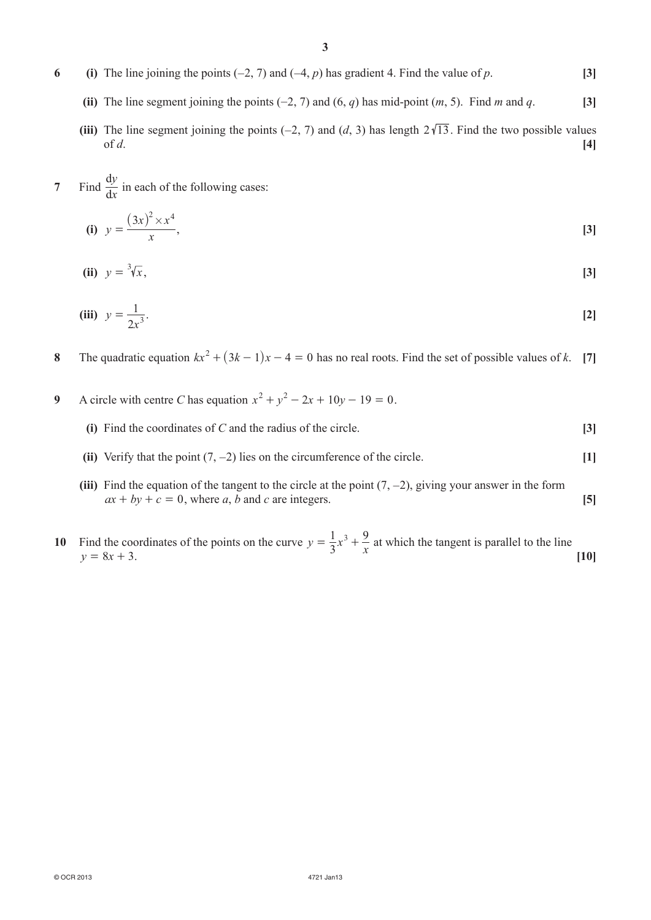- **6** (i) The line joining the points (−2, 7) and (−4, *p*) has gradient 4. Find the value of *p*. [3]
	- **(ii)** The line segment joining the points  $(-2, 7)$  and  $(6, q)$  has mid-point  $(m, 5)$ . Find *m* and *q*. **[3]**
	- **(iii)** The line segment joining the points (−2, 7) and (*d*, 3) has length  $2\sqrt{13}$ . Find the two possible values of *d*. **[4]**
- **7** Find  $\frac{dy}{dx}$ *y*  $\frac{dy}{dx}$  in each of the following cases:

(i) 
$$
y = \frac{(3x)^2 \times x^4}{x}
$$
, [3]

**(ii)**  $v = \sqrt[3]{x}$ ,  $=$   $\sqrt[3]{x}$ , [3]

(iii) 
$$
y = \frac{1}{2x^3}
$$
. [2]

- **8** The quadratic equation  $kx^2 + (3k 1)x 4 = 0$  has no real roots. Find the set of possible values of *k*. [7]
- **9** A circle with centre *C* has equation  $x^2 + y^2 2x + 10y 19 = 0$ .
	- **(i)** Find the coordinates of *C* and the radius of the circle. **[3]**
	- **(ii)** Verify that the point (7, −2) lies on the circumference of the circle. **[1]**
	- **(iii)** Find the equation of the tangent to the circle at the point  $(7, -2)$ , giving your answer in the form  $ax + by + c = 0$ , where *a*, *b* and *c* are integers. **[5]**
- 10 Find the coordinates of the points on the curve  $y = \frac{1}{3}x^3 + \frac{9}{x}$  at which the tangent is parallel to the line  $y = 8x + 3.$  [10]